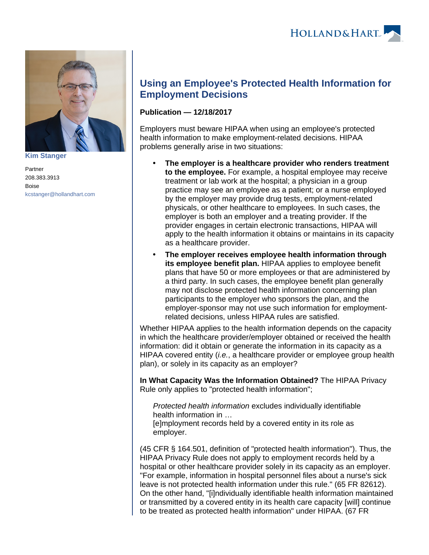

**[Kim Stanger](https://www.hollandhart.com/15954)**

Partner 208.383.3913 Boise [kcstanger@hollandhart.com](mailto:kcstanger@hollandhart.com)

# **Using an Employee's Protected Health Information for Employment Decisions**

# **Publication — 12/18/2017**

Employers must beware HIPAA when using an employee's protected health information to make employment-related decisions. HIPAA problems generally arise in two situations:

- **The employer is a healthcare provider who renders treatment to the employee.** For example, a hospital employee may receive treatment or lab work at the hospital; a physician in a group practice may see an employee as a patient; or a nurse employed by the employer may provide drug tests, employment-related physicals, or other healthcare to employees. In such cases, the employer is both an employer and a treating provider. If the provider engages in certain electronic transactions, HIPAA will apply to the health information it obtains or maintains in its capacity as a healthcare provider.
- **The employer receives employee health information through its employee benefit plan.** HIPAA applies to employee benefit plans that have 50 or more employees or that are administered by a third party. In such cases, the employee benefit plan generally may not disclose protected health information concerning plan participants to the employer who sponsors the plan, and the employer-sponsor may not use such information for employmentrelated decisions, unless HIPAA rules are satisfied.

Whether HIPAA applies to the health information depends on the capacity in which the healthcare provider/employer obtained or received the health information: did it obtain or generate the information in its capacity as a HIPAA covered entity *(i.e., a healthcare provider or employee group health* plan), or solely in its capacity as an employer?

**In What Capacity Was the Information Obtained?** The HIPAA Privacy Rule only applies to "protected health information";

Protected health information excludes individually identifiable health information in … [e]mployment records held by a covered entity in its role as employer.

(45 CFR § 164.501, definition of "protected health information"). Thus, the HIPAA Privacy Rule does not apply to employment records held by a hospital or other healthcare provider solely in its capacity as an employer. "For example, information in hospital personnel files about a nurse's sick leave is not protected health information under this rule." (65 FR 82612). On the other hand, "[i]ndividually identifiable health information maintained or transmitted by a covered entity in its health care capacity [will] continue to be treated as protected health information" under HIPAA. (67 FR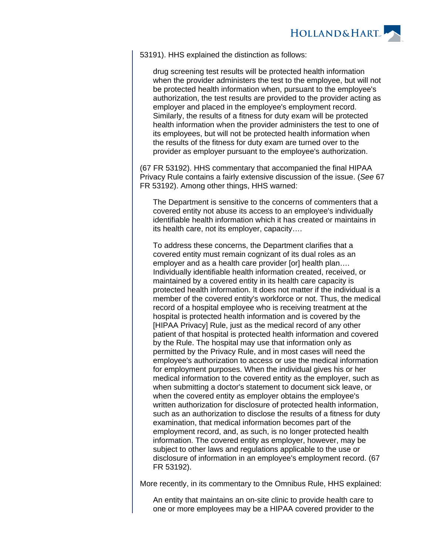

53191). HHS explained the distinction as follows:

drug screening test results will be protected health information when the provider administers the test to the employee, but will not be protected health information when, pursuant to the employee's authorization, the test results are provided to the provider acting as employer and placed in the employee's employment record. Similarly, the results of a fitness for duty exam will be protected health information when the provider administers the test to one of its employees, but will not be protected health information when the results of the fitness for duty exam are turned over to the provider as employer pursuant to the employee's authorization.

(67 FR 53192). HHS commentary that accompanied the final HIPAA Privacy Rule contains a fairly extensive discussion of the issue. (See 67 FR 53192). Among other things, HHS warned:

The Department is sensitive to the concerns of commenters that a covered entity not abuse its access to an employee's individually identifiable health information which it has created or maintains in its health care, not its employer, capacity….

To address these concerns, the Department clarifies that a covered entity must remain cognizant of its dual roles as an employer and as a health care provider [or] health plan…. Individually identifiable health information created, received, or maintained by a covered entity in its health care capacity is protected health information. It does not matter if the individual is a member of the covered entity's workforce or not. Thus, the medical record of a hospital employee who is receiving treatment at the hospital is protected health information and is covered by the [HIPAA Privacy] Rule, just as the medical record of any other patient of that hospital is protected health information and covered by the Rule. The hospital may use that information only as permitted by the Privacy Rule, and in most cases will need the employee's authorization to access or use the medical information for employment purposes. When the individual gives his or her medical information to the covered entity as the employer, such as when submitting a doctor's statement to document sick leave, or when the covered entity as employer obtains the employee's written authorization for disclosure of protected health information, such as an authorization to disclose the results of a fitness for duty examination, that medical information becomes part of the employment record, and, as such, is no longer protected health information. The covered entity as employer, however, may be subject to other laws and regulations applicable to the use or disclosure of information in an employee's employment record. (67 FR 53192).

More recently, in its commentary to the Omnibus Rule, HHS explained:

An entity that maintains an on-site clinic to provide health care to one or more employees may be a HIPAA covered provider to the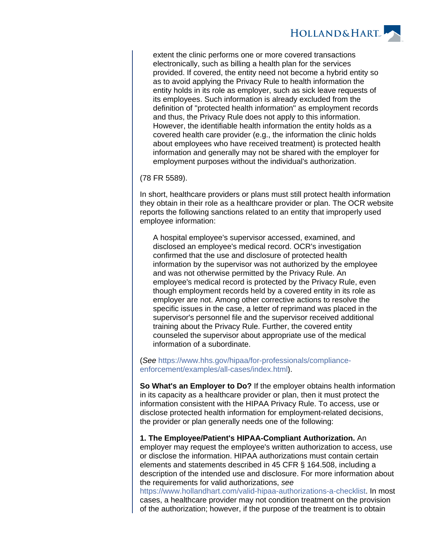

extent the clinic performs one or more covered transactions electronically, such as billing a health plan for the services provided. If covered, the entity need not become a hybrid entity so as to avoid applying the Privacy Rule to health information the entity holds in its role as employer, such as sick leave requests of its employees. Such information is already excluded from the definition of ''protected health information'' as employment records and thus, the Privacy Rule does not apply to this information. However, the identifiable health information the entity holds as a covered health care provider (e.g., the information the clinic holds about employees who have received treatment) is protected health information and generally may not be shared with the employer for employment purposes without the individual's authorization.

#### (78 FR 5589).

In short, healthcare providers or plans must still protect health information they obtain in their role as a healthcare provider or plan. The OCR website reports the following sanctions related to an entity that improperly used employee information:

A hospital employee's supervisor accessed, examined, and disclosed an employee's medical record. OCR's investigation confirmed that the use and disclosure of protected health information by the supervisor was not authorized by the employee and was not otherwise permitted by the Privacy Rule. An employee's medical record is protected by the Privacy Rule, even though employment records held by a covered entity in its role as employer are not. Among other corrective actions to resolve the specific issues in the case, a letter of reprimand was placed in the supervisor's personnel file and the supervisor received additional training about the Privacy Rule. Further, the covered entity counseled the supervisor about appropriate use of the medical information of a subordinate.

(See [https://www.hhs.gov/hipaa/for-professionals/compliance](https://www.hhs.gov/hipaa/for-professionals/compliance-enforcement/examples/all-cases/index.html)[enforcement/examples/all-cases/index.html\)](https://www.hhs.gov/hipaa/for-professionals/compliance-enforcement/examples/all-cases/index.html).

**So What's an Employer to Do?** If the employer obtains health information in its capacity as a healthcare provider or plan, then it must protect the information consistent with the HIPAA Privacy Rule. To access, use or disclose protected health information for employment-related decisions, the provider or plan generally needs one of the following:

**1. The Employee/Patient's HIPAA-Compliant Authorization.** An employer may request the employee's written authorization to access, use or disclose the information. HIPAA authorizations must contain certain elements and statements described in 45 CFR § 164.508, including a description of the intended use and disclosure. For more information about the requirements for valid authorizations, see

<https://www.hollandhart.com/valid-hipaa-authorizations-a-checklist>. In most cases, a healthcare provider may not condition treatment on the provision of the authorization; however, if the purpose of the treatment is to obtain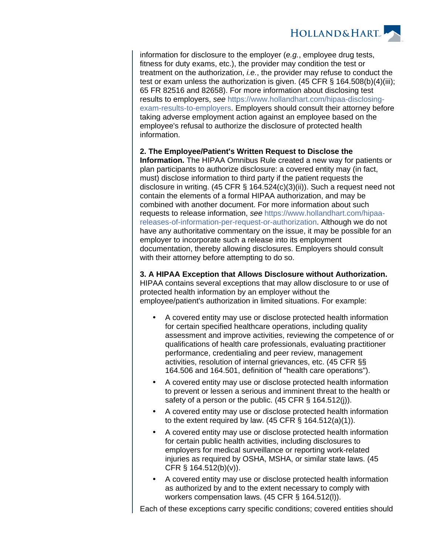

information for disclosure to the employer (e.g., employee drug tests, fitness for duty exams, etc.), the provider may condition the test or treatment on the authorization, i.e., the provider may refuse to conduct the test or exam unless the authorization is given.  $(45 \text{ CFR} \text{S} 164.508(b)(4)(iii))$ ; 65 FR 82516 and 82658). For more information about disclosing test results to employers, see [https://www.hollandhart.com/hipaa-disclosing](https://www.hollandhart.com/hipaa-disclosing-exam-results-to-employers)[exam-results-to-employers.](https://www.hollandhart.com/hipaa-disclosing-exam-results-to-employers) Employers should consult their attorney before taking adverse employment action against an employee based on the employee's refusal to authorize the disclosure of protected health information.

## **2. The Employee/Patient's Written Request to Disclose the**

**Information.** The HIPAA Omnibus Rule created a new way for patients or plan participants to authorize disclosure: a covered entity may (in fact, must) disclose information to third party if the patient requests the disclosure in writing. (45 CFR § 164.524(c)(3)(ii)). Such a request need not contain the elements of a formal HIPAA authorization, and may be combined with another document. For more information about such requests to release information, see [https://www.hollandhart.com/hipaa](https://www.hollandhart.com/hipaa-releases-of-information-per-request-or-authorization)[releases-of-information-per-request-or-authorization](https://www.hollandhart.com/hipaa-releases-of-information-per-request-or-authorization). Although we do not have any authoritative commentary on the issue, it may be possible for an employer to incorporate such a release into its employment documentation, thereby allowing disclosures. Employers should consult with their attorney before attempting to do so.

## **3. A HIPAA Exception that Allows Disclosure without Authorization.**

HIPAA contains several exceptions that may allow disclosure to or use of protected health information by an employer without the employee/patient's authorization in limited situations. For example:

- A covered entity may use or disclose protected health information for certain specified healthcare operations, including quality assessment and improve activities, reviewing the competence of or qualifications of health care professionals, evaluating practitioner performance, credentialing and peer review, management activities, resolution of internal grievances, etc. (45 CFR §§ 164.506 and 164.501, definition of "health care operations").
- A covered entity may use or disclose protected health information to prevent or lessen a serious and imminent threat to the health or safety of a person or the public. (45 CFR § 164.512(j)).
- A covered entity may use or disclose protected health information to the extent required by law.  $(45$  CFR §  $164.512(a)(1))$ .
- A covered entity may use or disclose protected health information for certain public health activities, including disclosures to employers for medical surveillance or reporting work-related injuries as required by OSHA, MSHA, or similar state laws. (45 CFR § 164.512(b)(v)).
- A covered entity may use or disclose protected health information as authorized by and to the extent necessary to comply with workers compensation laws. (45 CFR § 164.512(l)).

Each of these exceptions carry specific conditions; covered entities should